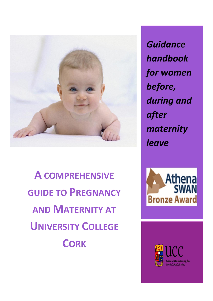

**A COMPREHENSIVE GUIDE TO PREGNANCY AND MATERNITY AT UNIVERSITY COLLEGE CORK** 

**Guidance** handbook for women before, during and after maternity leave



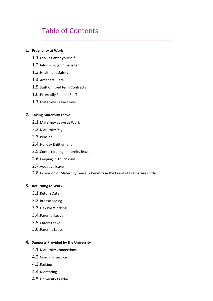# Table of Contents

#### **1. Pregnancy at Work**

- 1.1.Looking after yourself
- 1.2.Informing your manager
- 1.3.Health and Safety
- 1.4.Antenatal Care
- 1.5.Staff on fixed term Contracts
- 1.6.Externally Funded Staff
- 1.7.Maternity Leave Cover

#### **2. Taking Maternity Leave**

- 2.1.Maternity Leave at Work
- 2.2.Maternity Pay
- 2.3.Pension
- 2.4.Holiday Entitlement
- 2.5.Contact during maternity leave
- 2.6.Keeping in Touch days
- 2.7.Adoptive leave
- 2.8.Extension of Maternity Leave & Benefits in the Event of Premature Births

#### **3. Returning to Work**

- 3.1.Return Date
- 3.2.Breastfeeding
- 3.3.Flexible Working
- 3.4.Parental Leave
- 3.5.Carers Leave
- 3.6.Parent's Leave

#### **4. Supports Provided by the University**

- 4.1.Maternity Connections
- 4.2.Coaching Service
- 4.3.Parking
- 4.4.Mentoring
- 4.5.University Crèche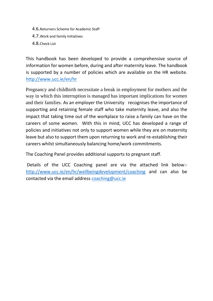- 4.6.Returners Scheme for Academic Staff
- 4.7.Work and family Initiatives
- 4.8.Check List

This handbook has been developed to provide a comprehensive source of information for women before, during and after maternity leave. The handbook is supported by a number of policies which are available on the HR website. <http://www.ucc.ie/en/hr>

Pregnancy and childbirth necessitate a break in employment for mothers and the way in which this interruption is managed has important implications for women and their families. As an employer the University recognises the importance of supporting and retaining female staff who take maternity leave, and also the impact that taking time out of the workplace to raise a family can have on the careers of some women. With this in mind, UCC has developed a range of policies and initiatives not only to support women while they are on maternity leave but also to support them upon returning to work and re-establishing their careers whilst simultaneously balancing home/work commitments.

The Coaching Panel provides additional supports to pregnant staff.

Details of the UCC Coaching panel are via the attached link below: <http://www.ucc.ie/en/hr/wellbeingdevelopment/coaching> and can also be contacted via the email address [coaching@ucc.ie](mailto:coaching@ucc.ie)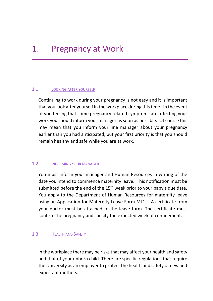# 1. Pregnancy at Work

### 1.1. LOOKING AFTER YOURSELF

Continuing to work during your pregnancy is not easy and it is important that you look after yourself in the workplace during this time. In the event of you feeling that some pregnancy related symptoms are affecting your work you should inform your manager as soon as possible. Of course this may mean that you inform your line manager about your pregnancy earlier than you had anticipated, but your first priority is that you should remain healthy and safe while you are at work.

### 1.2. INFORMING YOUR MANAGER

You must inform your manager and Human Resources in writing of the date you intend to commence maternity leave. This notification must be submitted before the end of the 15<sup>th</sup> week prior to your baby's due date. You apply to the Department of Human Resources for maternity leave using an Application for Maternity Leave Form ML1. A certificate from your doctor must be attached to the leave form. The certificate must confirm the pregnancy and specify the expected week of confinement.

### 1.3. HEALTH AND SAFETY

In the workplace there may be risks that may affect your health and safety and that of your unborn child. There are specific regulations that require the University as an employer to protect the health and safety of new and expectant mothers.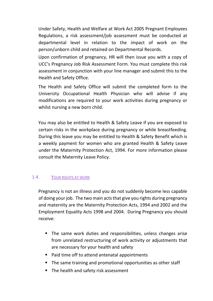Under Safety, Health and Welfare at Work Act 2005 Pregnant Employees Regulations, a risk assessment/job assessment must be conducted at departmental level in relation to the impact of work on the person/unborn child and retained on Departmental Records.

Upon confirmation of pregnancy, HR will then issue you with a copy of UCC's Pregnancy Job Risk Assessment Form. You must complete this risk assessment in conjunction with your line manager and submit this to the Health and Safety Office.

The Health and Safety Office will submit the completed form to the University Occupational Health Physician who will advise if any modifications are required to your work activities during pregnancy or whilst nursing a new born child.

You may also be entitled to Health & Safety Leave if you are exposed to certain risks in the workplace during pregnancy or while breastfeeding. During this leave you may be entitled to Health & Safety Benefit which is a weekly payment for women who are granted Health & Safety Leave under the Maternity Protection Act, 1994. For more information please consult the Maternity Leave Policy.

# 1.4. YOUR RIGHTS AT WORK

Pregnancy is not an illness and you do not suddenly become less capable of doing your job. The two main acts that give you rights during pregnancy and maternity are the Maternity Protection Acts, 1994 and 2002 and the Employment Equality Acts 1998 and 2004. During Pregnancy you should receive:

- **The same work duties and responsibilities, unless changes arise** from unrelated restructuring of work activity or adjustments that are necessary for your health and safety
- Paid time off to attend antenatal appointments
- **The same training and promotional opportunities as other staff**
- The health and safety risk assessment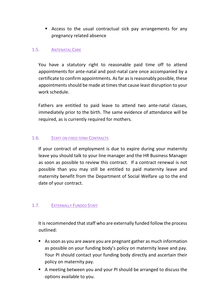Access to the usual contractual sick pay arrangements for any pregnancy related absence

# 1.5. ANTENATAL CARE

You have a statutory right to reasonable paid time off to attend appointments for ante-natal and post-natal care once accompanied by a certificate to confirm appointments. As far as is reasonably possible, these appointments should be made at times that cause least disruption to your work schedule.

Fathers are entitled to paid leave to attend two ante-natal classes, immediately prior to the birth. The same evidence of attendance will be required, as is currently required for mothers.

### 1.6. STAFF ON FIXED TERM CONTRACTS

If your contract of employment is due to expire during your maternity leave you should talk to your line manager and the HR Business Manager as soon as possible to review this contract. If a contract renewal is not possible than you may still be entitled to paid maternity leave and maternity benefit from the Department of Social Welfare up to the end date of your contract.

# 1.7. EXTERNALLY FUNDED STAFF

It is recommended that staff who are externally funded follow the process outlined:

- As soon as you are aware you are pregnant gather as much information as possible on your funding body's policy on maternity leave and pay. Your PI should contact your funding body directly and ascertain their policy on maternity pay.
- A meeting between you and your PI should be arranged to discuss the options available to you.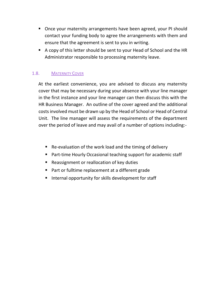- Once your maternity arrangements have been agreed, your PI should contact your funding body to agree the arrangements with them and ensure that the agreement is sent to you in writing.
- A copy of this letter should be sent to your Head of School and the HR Administrator responsible to processing maternity leave.

# 1.8. MATERNITY COVER

At the earliest convenience, you are advised to discuss any maternity cover that may be necessary during your absence with your line manager in the first instance and your line manager can then discuss this with the HR Business Manager. An outline of the cover agreed and the additional costs involved must be drawn up by the Head of School or Head of Central Unit. The line manager will assess the requirements of the department over the period of leave and may avail of a number of options including:-

- Re-evaluation of the work load and the timing of delivery
- Part-time Hourly Occasional teaching support for academic staff
- Reassignment or reallocation of key duties
- Part or fulltime replacement at a different grade
- **Internal opportunity for skills development for staff**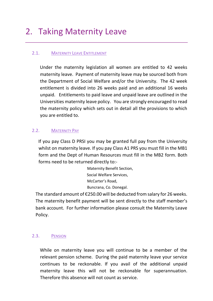# 2. Taking Maternity Leave

# 2.1. MATERNITY LEAVE ENTITLEMENT

Under the maternity legislation all women are entitled to 42 weeks maternity leave. Payment of maternity leave may be sourced both from the Department of Social Welfare and/or the University. The 42 week entitlement is divided into 26 weeks paid and an additional 16 weeks unpaid. Entitlements to paid leave and unpaid leave are outlined in the Universities maternity leave policy. You are strongly encouraged to read the maternity policy which sets out in detail all the provisions to which you are entitled to.

### 2.2. MATERNITY PAY

If you pay Class D PRSI you may be granted full pay from the University whilst on maternity leave. If you pay Class A1 PRS you must fill in the MB1 form and the Dept of Human Resources must fill in the MB2 form. Both forms need to be returned directly to:-

> Maternity Benefit Section, Social Welfare Services, McCarter's Road, Buncrana, Co. Donegal.

The standard amount of Є250.00 will be deducted from salary for 26 weeks. The maternity benefit payment will be sent directly to the staff member's bank account. For further information please consult the Maternity Leave Policy.

### 2.3. PENSION

While on maternity leave you will continue to be a member of the relevant pension scheme. During the paid maternity leave your service continues to be reckonable. If you avail of the additional unpaid maternity leave this will not be reckonable for superannuation. Therefore this absence will not count as service.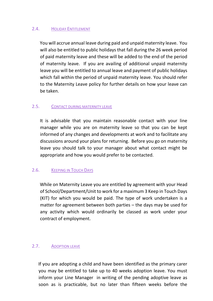### 2.4. HOLIDAY ENTITLEMENT

You will accrue annual leave during paid and unpaid maternity leave. You will also be entitled to public holidays that fall during the 26 week period of paid maternity leave and these will be added to the end of the period of maternity leave. If you are availing of additional unpaid maternity leave you will be entitled to annual leave and payment of public holidays which fall within the period of unpaid maternity leave. You should refer to the Maternity Leave policy for further details on how your leave can be taken.

### 2.5. CONTACT DURING MATERNITY LEAVE

It is advisable that you maintain reasonable contact with your line manager while you are on maternity leave so that you can be kept informed of any changes and developments at work and to facilitate any discussions around your plans for returning. Before you go on maternity leave you should talk to your manager about what contact might be appropriate and how you would prefer to be contacted.

# 2.6. KEEPING IN TOUCH DAYS

While on Maternity Leave you are entitled by agreement with your Head of School/Department/Unit to work for a maximum 3 Keep in Touch Days (KIT) for which you would be paid. The type of work undertaken is a matter for agreement between both parties – the days may be used for any activity which would ordinarily be classed as work under your contract of employment.

### 2.7. ADOPTION LEAVE

If you are adopting a child and have been identified as the primary carer you may be entitled to take up to 40 weeks adoption leave. You must inform your Line Manager in writing of the pending adoptive leave as soon as is practicable, but no later than fifteen weeks before the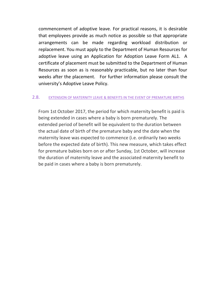commencement of adoptive leave. For practical reasons, it is desirable that employees provide as much notice as possible so that appropriate arrangements can be made regarding workload distribution or replacement. You must apply to the Department of Human Resources for adoptive leave using an Application for Adoption Leave Form AL1. A certificate of placement must be submitted to the Department of Human Resources as soon as is reasonably practicable, but no later than four weeks after the placement. For further information please consult the university's Adoptive Leave Policy.

#### 2.8. EXTENSION OF MATERNITY LEAVE & BENEFITS IN THE EVENT OF PREMATURE BIRTHS

From 1st October 2017, the period for which maternity benefit is paid is being extended in cases where a baby is born prematurely. The extended period of benefit will be equivalent to the duration between the actual date of birth of the premature baby and the date when the maternity leave was expected to commence (i.e. ordinarily two weeks before the expected date of birth). This new measure, which takes effect for premature babies born on or after Sunday, 1st October, will increase the duration of maternity leave and the associated maternity benefit to be paid in cases where a baby is born prematurely.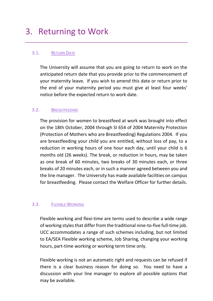# 3. Returning to Work

## 3.1. RETURN DATE

The University will assume that you are going to return to work on the anticipated return date that you provide prior to the commencement of your maternity leave. If you wish to amend this date or return prior to the end of your maternity period you must give at least four weeks' notice before the expected return to work date.

## 3.2. BREASTFEEDING

The provision for women to breastfeed at work was brought into effect on the 18th October, 2004 through SI 654 of 2004 Maternity Protection (Protection of Mothers who are Breastfeeding) Regulations 2004. If you are breastfeeding your child you are entitled, without loss of pay, to a reduction in working hours of one hour each day, until your child is 6 months old (26 weeks). The break, or reduction in hours, may be taken as one break of 60 minutes, two breaks of 30 minutes each, or three breaks of 20 minutes each, or in such a manner agreed between you and the line manager. The University has made available facilities on campus for breastfeeding. Please contact the Welfare Officer for further details.

### 3.3. FLEXIBLE WORKING

Flexible working and flexi-time are terms used to describe a wide range of working styles that differ from the traditional nine-to-five full-time job. UCC accommodates a range of such schemes including, but not limited to EA/SEA Flexible working scheme, Job Sharing, changing your working hours, part-time working or working term time only.

Flexible working is not an automatic right and requests can be refused if there is a clear business reason for doing so. You need to have a discussion with your line manager to explore all possible options that may be available.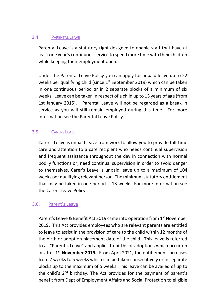### 3.4. PARENTAL LEAVE

Parental Leave is a statutory right designed to enable staff that have at least one year's continuous service to spend more time with their children while keeping their employment open.

Under the Parental Leave Policy you can apply for unpaid leave up to 22 weeks per qualifying child (since 1<sup>st</sup> September 2019) which can be taken in one continuous period **or** in 2 separate blocks of a minimum of six weeks. Leave can be taken in respect of a child up to 13 years of age (from 1st January 2015). Parental Leave will not be regarded as a break in service as you will still remain employed during this time. For more information see the Parental Leave Policy.

## 3.5. CARERS LEAVE

Carer's Leave is unpaid leave from work to allow you to provide full-time care and attention to a care recipient who needs continual supervision and frequent assistance throughout the day in connection with normal bodily functions or, need continual supervision in order to avoid danger to themselves. Carer's Leave is unpaid leave up to a maximum of 104 weeks per qualifying relevant person. The minimum statutory entitlement that may be taken in one period is 13 weeks. For more information see the Carers Leave Policy.

# 3.6. Parent's Leave

Parent's Leave & Benefit Act 2019 came into operation from 1<sup>st</sup> November 2019. This Act provides employees who are relevant parents are entitled to leave to assist in the provision of care to the child within 12 months of the birth or adoption placement date of the child. This leave is referred to as "Parent's Leave" and applies to births or adoptions which occur on or after **1 st November 2019.** From April 2021, the entitlement increases from 2 weeks to 5 weeks which can be taken consecutively or in separate blocks up to the maximum of 5 weeks. This leave can be availed of up to the child's 2<sup>nd</sup> birthday. The Act provides for the payment of parent's benefit from Dept of Employment Affairs and Social Protection to eligible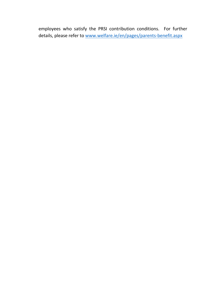employees who satisfy the PRSI contribution conditions. For further details, please refer to [www.welfare.ie/en/pages/parents-benefit.aspx](http://www.welfare.ie/en/pages/parents-benefit.aspx)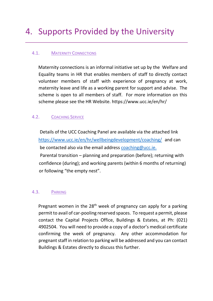# 4. Supports Provided by the University

# 4.1. MATERNITY CONNECTIONS

Maternity connections is an informal initiative set up by the Welfare and Equality teams in HR that enables members of staff to directly contact volunteer members of staff with experience of pregnancy at work, maternity leave and life as a working parent for support and advise. The scheme is open to all members of staff. For more information on this scheme please see the HR Website. https://www.ucc.ie/en/hr/

## 4.2. COACHING SERVICE

 Details of the UCC Coaching Panel are available via the attached link <https://www.ucc.ie/en/hr/wellbeingdevelopment/coaching/> and can be contacted also via the email address [coaching@ucc.ie.](mailto:coaching@ucc.ie) Parental transition – planning and preparation (before); returning with confidence (during); and working parents (within 6 months of returning) or following "the empty nest".

### 4.3. PARKING

Pregnant women in the 28<sup>th</sup> week of pregnancy can apply for a parking permit to avail of car-pooling reserved spaces. To request a permit, please contact the Capital Projects Office, Buildings & Estates, at Ph: (021) 4902504. You will need to provide a copy of a doctor's medical certificate confirming the week of pregnancy. Any other accommodation for pregnant staff in relation to parking will be addressed and you can contact Buildings & Estates directly to discuss this further.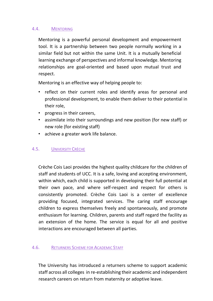### 4.4. MENTORING

Mentoring is a powerful personal development and empowerment tool. It is a partnership between two people normally working in a similar field but not within the same Unit. It is a mutually beneficial learning exchange of perspectives and informal knowledge. Mentoring relationships are goal-oriented and based upon mutual trust and respect.

Mentoring is an effective way of helping people to:

- reflect on their current roles and identify areas for personal and professional development, to enable them deliver to their potential in their role,
- progress in their careers,
- assimilate into their surroundings and new position (for new staff) or new role (for existing staff)
- achieve a greater work life balance.

### 4.5. UNIVERSITY CRÈCHE

Crèche Cois Laoi provides the highest quality childcare for the children of staff and students of UCC. It is a safe, loving and accepting environment, within which, each child is supported in developing their full potential at their own pace, and where self-respect and respect for others is consistently promoted. Crèche Cois Laoi is a center of excellence providing focused, integrated services. The caring staff encourage children to express themselves freely and spontaneously, and promote enthusiasm for learning. Children, parents and staff regard the facility as an extension of the home. The service is equal for all and positive interactions are encouraged between all parties.

### 4.6. RETURNERS SCHEME FOR ACADEMIC STAFF

The University has introduced a returners scheme to support academic staff across all colleges in re-establishing their academic and independent research careers on return from maternity or adoptive leave.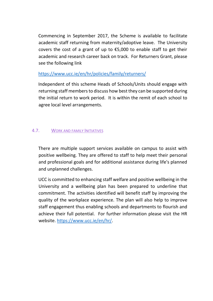Commencing in September 2017, the Scheme is available to facilitate academic staff returning from maternity/adoptive leave. The University covers the cost of a grant of up to  $£5,000$  to enable staff to get their academic and research career back on track. For Returners Grant, please see the following link

## <https://www.ucc.ie/en/hr/policies/family/returners/>

Independent of this scheme Heads of Schools/Units should engage with returning staff members to discuss how best they can be supported during the initial return to work period. It is within the remit of each school to agree local level arrangements.

## 4.7. WORK AND FAMILY INITIATIVES

There are multiple support services available on campus to assist with positive wellbeing. They are offered to staff to help meet their personal and professional goals and for additional assistance during life's planned and unplanned challenges.

UCC is committed to enhancing staff welfare and positive wellbeing in the University and a wellbeing plan has been prepared to underline that commitment. The activities identified will benefit staff by improving the quality of the workplace experience. The plan will also help to improve staff engagement thus enabling schools and departments to flourish and achieve their full potential. For further information please visit the HR website. [https://www.ucc.ie/en/hr/.](https://www.ucc.ie/en/hr/)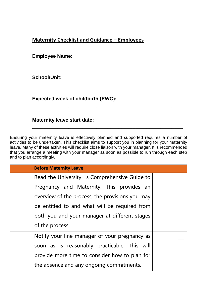# **Maternity Checklist and Guidance – Employees**

**\_\_\_\_\_\_\_\_\_\_\_\_\_\_\_\_\_\_\_\_\_\_\_\_\_\_\_\_\_\_\_\_\_\_\_\_\_\_\_\_\_\_\_\_\_\_\_\_\_\_\_\_**

**\_\_\_\_\_\_\_\_\_\_\_\_\_\_\_\_\_\_\_\_\_\_\_\_\_\_\_\_\_\_\_\_\_\_\_\_\_\_\_\_\_\_\_\_\_\_\_\_\_\_\_\_\_**

**\_\_\_\_\_\_\_\_\_\_\_\_\_\_\_\_\_\_\_\_\_\_\_\_\_\_\_\_\_\_\_\_\_\_\_\_\_\_\_\_\_\_\_\_\_\_\_\_\_\_\_\_\_**

**\_\_\_\_\_\_\_\_\_\_\_\_\_\_\_\_\_\_\_\_\_\_\_\_\_\_\_\_\_\_\_\_\_\_\_\_\_\_\_\_\_\_\_\_\_\_\_\_\_\_\_\_\_\_**

### **Employee Name:**

# **School/Unit:**

**Expected week of childbirth (EWC):** 

## **Maternity leave start date:**

Ensuring your maternity leave is effectively planned and supported requires a number of activities to be undertaken. This checklist aims to support you in planning for your maternity leave. Many of these activities will require close liaison with your manager. It is recommended that you arrange a meeting with your manager as soon as possible to run through each step and to plan accordingly.

| <b>Before Maternity Leave</b>                   |  |
|-------------------------------------------------|--|
| Read the University's Comprehensive Guide to    |  |
| Pregnancy and Maternity. This provides an       |  |
| overview of the process, the provisions you may |  |
| be entitled to and what will be required from   |  |
| both you and your manager at different stages   |  |
| of the process.                                 |  |
| Notify your line manager of your pregnancy as   |  |
| soon as is reasonably practicable. This will    |  |
| provide more time to consider how to plan for   |  |
| the absence and any ongoing commitments.        |  |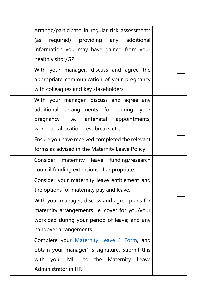| Arrange/participate in regular risk assessments |  |
|-------------------------------------------------|--|
| required) providing any additional<br>(as       |  |
| information you may have gained from your       |  |
| health visitor/GP.                              |  |
| With your manager, discuss and agree the        |  |
| appropriate communication of your pregnancy     |  |
| with colleagues and key stakeholders.           |  |
| With your manager, discuss and agree any        |  |
| additional arrangements for during your         |  |
| pregnancy, i.e. antenatal appointments,         |  |
| workload allocation, rest breaks etc.           |  |
| Ensure you have received completed the relevant |  |
| forms as advised in the Maternity Leave Policy  |  |
| Consider maternity leave funding/research       |  |
| council funding extensions, if appropriate.     |  |
| Consider your maternity leave entitlement and   |  |
| the options for maternity pay and leave.        |  |
| With your manager, discuss and agree plans for  |  |
| maternity arrangements i.e. cover for you/your  |  |
| workload during your period of leave; and any   |  |
| handover arrangements.                          |  |
| Complete your Maternity Leave 1 Form, and       |  |
| obtain your manager's signature. Submit this    |  |
| with your ML1 to the Maternity Leave            |  |
| <b>Administrator in HR</b>                      |  |
|                                                 |  |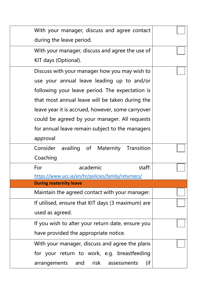| With your manager, discuss and agree contact        |  |
|-----------------------------------------------------|--|
| during the leave period.                            |  |
| With your manager, discuss and agree the use of     |  |
| KIT days (Optional).                                |  |
| Discuss with your manager how you may wish to       |  |
| use your annual leave leading up to and/or          |  |
| following your leave period. The expectation is     |  |
| that most annual leave will be taken during the     |  |
| leave year it is accrued, however, some carryover   |  |
| could be agreed by your manager. All requests       |  |
| for annual leave remain subject to the managers     |  |
| approval                                            |  |
| availing of Maternity Transition<br>Consider        |  |
| Coaching                                            |  |
| academic<br>staff:<br>For                           |  |
| https://www.ucc.ie/en/hr/policies/family/returners/ |  |
| <b>During maternity leave</b>                       |  |
| Maintain the agreed contact with your manager.      |  |
| If utilised, ensure that KIT days (3 maximum) are   |  |
| used as agreed.                                     |  |
| If you wish to alter your return date, ensure you   |  |
| have provided the appropriate notice.               |  |
| With your manager, discuss and agree the plans      |  |
| for your return to work, e.g. breastfeeding         |  |
| arrangements and risk assessments<br>(if            |  |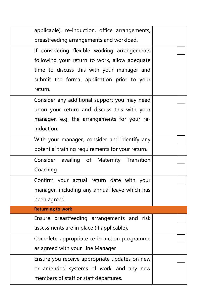| applicable), re-induction, office arrangements,  |  |
|--------------------------------------------------|--|
| breastfeeding arrangements and workload.         |  |
| If considering flexible working arrangements     |  |
| following your return to work, allow adequate    |  |
| time to discuss this with your manager and       |  |
| submit the formal application prior to your      |  |
| return.                                          |  |
| Consider any additional support you may need     |  |
| upon your return and discuss this with your      |  |
| manager, e.g. the arrangements for your re-      |  |
| induction.                                       |  |
| With your manager, consider and identify any     |  |
| potential training requirements for your return. |  |
| Consider availing of Maternity Transition        |  |
| Coaching                                         |  |
| Confirm your actual return date with your        |  |
| manager, including any annual leave which has    |  |
| been agreed.                                     |  |
| <b>Returning to work</b>                         |  |
| breastfeeding arrangements and risk<br>Ensure    |  |
| assessments are in place (if applicable).        |  |
| Complete appropriate re-induction programme      |  |
| as agreed with your Line Manager                 |  |
| Ensure you receive appropriate updates on new    |  |
| or amended systems of work, and any new          |  |
| members of staff or staff departures.            |  |
|                                                  |  |